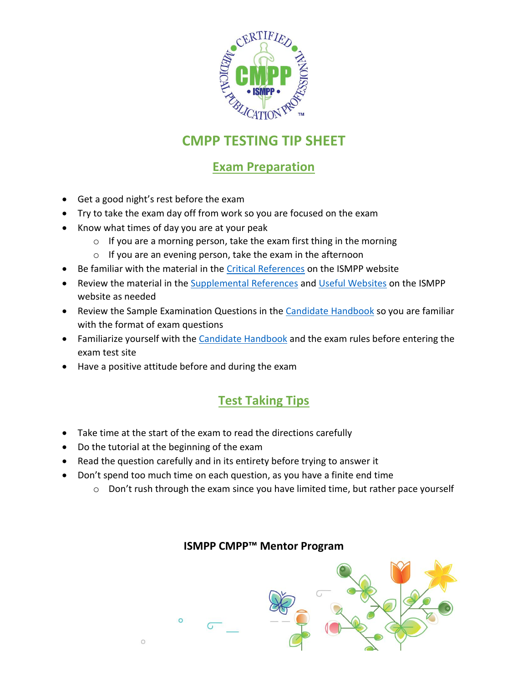

## **CMPP TESTING TIP SHEET**

## **Exam Preparation**

- Get a good night's rest before the exam
- Try to take the exam day off from work so you are focused on the exam
- Know what times of day you are at your peak
	- $\circ$  If you are a morning person, take the exam first thing in the morning
	- o If you are an evening person, take the exam in the afternoon
- Be familiar with the material in th[e Critical References](https://www.ismpp.org/cmpp-critical-references) on the ISMPP website
- Review the material in the **Supplemental References** and [Useful Websites](https://www.ismpp.org/cmpp-supplemental-references) on the ISMPP website as needed
- Review the Sample Examination Questions in the [Candidate Handbook](https://www.ismpp.org/assets/docs/Certification/Candidate%20Handbook%202020%20update_FINAL.pdf) so you are familiar with the format of exam questions
- Familiarize yourself with th[e Candidate Handbook](https://www.ismpp.org/assets/docs/Certification/Candidate%20Handbook%202020%20update_FINAL.pdf) and the exam rules before entering the exam test site
- Have a positive attitude before and during the exam

## **Test Taking Tips**

- Take time at the start of the exam to read the directions carefully
- Do the tutorial at the beginning of the exam

 $\circ$ 

- Read the question carefully and in its entirety before trying to answer it
- Don't spend too much time on each question, as you have a finite end time
	- o Don't rush through the exam since you have limited time, but rather pace yourself



#### **ISMPP CMPP™ Mentor Program**